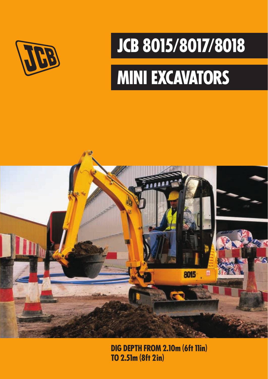

## **JCB 8015/8017/8018**

# **MINI EXCAVATORS**



**DIG DEPTH FROM 2.10m (6ft 11in) TO 2.51m (8ft 2 in)**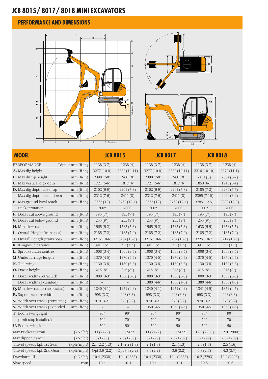## **JCB 8015/ 8017/ 8018 MINI EXCAVATORS**

#### **PERFORMANCE AND DIMENSIONS**





| 5<br>$\overline{4}$              | $\mathfrak{Z}$<br>$\overline{a}$ | $\mathbf{1}$<br>0 Metres |               |                 |               |                 |              |
|----------------------------------|----------------------------------|--------------------------|---------------|-----------------|---------------|-----------------|--------------|
| <b>MODEL</b>                     |                                  | <b>JCB 8015</b>          |               | <b>JCB 8017</b> |               | <b>JCB 8018</b> |              |
| <b>PERFORMANCE</b>               | Dipper $mm$ (ft-in)              | $1138(3-7)$              | 1238(4)       | $1138(3-7)$     | 1238(4)       | $1138(3-7)$     | 1238(4)      |
| A. Max dig height                | $mm$ (ft-in)                     | 3277 (10-8)              | $3332(10-11)$ | 3277 (10-8)     | $3332(10-11)$ | 3316 (10-10)    | 3372 (11-1)  |
| B. Max dump height               | $mm$ (ft-in)                     | $2390(7-8)$              | 2431(8)       | $2390(7-8)$     | 2431 (8)      | 2431(8)         | $2504(8-2)$  |
| C. Max vertical dig depth        | $mm$ (ft-in)                     | $1721(5-6)$              | 1817(6)       | $1721(5-6)$     | 1817(6)       | $1853(6-1)$     | $1948(6-4)$  |
| D. Max dig depth-dozer up        | $mm$ (ft-in)                     | $2102(6-9)$              | $2201(7-3)$   | $2102(6-9)$     | $2201(7-3)$   | $2185(7-2)$     | $2284(7-5)$  |
| Max dig depth-dozer down         | $mm$ (ft-in)                     | 2312 (7-6)               | 2411(8)       | 2312 (7-6)      | 2411(8)       | $2395(7-10)$    | $2494(8-2)$  |
| E. Max ground level reach        | $mm$ (ft-in)                     | 3665(12)                 | 3762 (12-4)   | 3665(12)        | 3762 (12-4)   | 3785 (12-5)     | 3883 (12-9)  |
| <b>Bucket rotation</b>           |                                  | $200^\circ$              | $200^{\circ}$ | $200^{\circ}$   | $200^{\circ}$ | $200^{\circ}$   | $200^\circ$  |
| <b>F.</b> Dozer cut above ground | $mm$ (ft-in)                     | 195(7")                  | 195(7")       | 195(7")         | 195(7")       | 195(7")         | 195(7")      |
| <b>G.</b> Dozer cut below ground | mm (ft-in)                       | 255(9")                  | 255(9")       | 255(9")         | 255(9")       | 255(9")         | 255(9")      |
| H. Min. slew radius              | $mm$ (ft-in)                     | $1565(5-2)$              | $1585(5-3)$   | $1565(5-2)$     | $1585(5-3)$   | $1638(5-5)$     | $1658(5-5)$  |
| I. Overall Height (trans pos)    | $mm$ (ft-in)                     | $2185(7-2)$              | $2185(7-2)$   | $2185(7-2)$     | $2185(7-2)$   | $2185(7-2)$     | $2185(7-2)$  |
| J. Overall Length (trans pos)    | $mm$ (ft-in)                     | $3215(10-6)$             | $3204(10-6)$  | $3215(10-6)$    | $3204(10-6)$  | $3225(10-7)$    | 3214 (10-6)  |
| K. Kingpost clearance            | $mm$ (ft-in)                     | 391 $(15")$              | 391 $(15")$   | 391 $(15")$     | 391(15")      | 391 $(15")$     | 391 $(15")$  |
| L. Sprocket idler centres        | $mm$ (ft-in)                     | $1008(3-4)$              | $1008(3-4)$   | $1008(3-4)$     | $1008(3-4)$   | $1008(3-4)$     | $1008(3-4)$  |
| M. Undercarriage length          | $mm$ (ft-in)                     | $1370(4-5)$              | $1370(4-5)$   | $1370(4-5)$     | $1370(4-5)$   | $1370(4-5)$     | $1370(4-5)$  |
| N. Tailswing                     | $mm$ (ft-in)                     | $1130(3-8)$              | $1130(3-8)$   | $1130(3-8)$     | $1130(3-8)$   | $1130(3-8)$     | $1130(3-8)$  |
| O. Dozer height                  | $mm$ (ft-in)                     | 215(8")                  | 215(8")       | 215(8")         | 215(8")       | 215(8")         | 215(8")      |
| P. Dozer width (retracted)       | $mm$ (ft-in)                     | $1000(3-3)$              | $1000(3-3)$   | $1000(3-3)$     | $1000(3-3)$   | $1000(3-3)$     | $1000(3-3)$  |
| Dozer width (extended)           | $mm$ (ft-in)                     |                          |               | $1380(4-6)$     | $1380(4-6)$   | $1380(4-6)$     | $1380(4-6)$  |
| Q. Min slew radius (no bucket)   | $mm$ (ft-in)                     | $1240(4-1)$              | $1251(4-2)$   | $1240(4-1)$     | $1251(4-2)$   | $1341(4-5)$     | $1352(4-5)$  |
| R. Superstructure width          | $mm$ (ft-in)                     | $998(3-3)$               | $998(3-3)$    | $998(3-3)$      | $998(3-3)$    | $998(3-3)$      | $998(3-3)$   |
| S. Width over tracks (retracted) | $mm$ (ft-in)                     | $970(3-2)$               | $970(3-2)$    | $970(3-2)$      | $970(3-2)$    | $970(3-2)$      | $970(3-2)$   |
| S. Width over tracks (extended)  | $mm$ (ft-in)                     |                          |               | $1350(4-5)$     | $1350(4-5)$   | $1350(4-5)$     | $1350(4-5)$  |
| T. Boom swing right              |                                  | 90°                      | 90°           | 90°             | 90°           | 90°             | $90^{\circ}$ |
| (limit stop installed)           |                                  | 70°                      | $70^{\circ}$  | $70^{\circ}$    | $70^{\circ}$  | $70^{\circ}$    | $70^{\circ}$ |
| U. Boom swing left               |                                  | 50°                      | $50^{\circ}$  | 50°             | $50^{\circ}$  | $50^{\circ}$    | $50^{\circ}$ |
| Max Bucket tearout               | (kN/lbf)                         | 11 (2472)                | 11 (2472)     | 11 (2472)       | 11 (2472)     | 12.9(2900)      | 12.9 (2900)  |
| Max dipper tearout               | (kN/lbf)                         | 8 (1799)                 | 7.6(1709)     | 8 (1799)        | 7.6 (1709)    | 8 (1799)        | 7.6(1709)    |
| Travel speeds kph 1st Gear       | (kph/mph)                        | 2.1/2.2(1.3)             | 2.1/2.2(1.3)  | 2.1(1.3)        | 2.1(1.3)      | 2.5(1.6)        | 2.5(1.6)     |
| Travel speeds kph 2nd Gear       | (kph/mph)                        | Opt 3.6 (2.2)            | Opt 3.6 (2.2) | 3.6(2.2)        | 3.6(2.2)      | 4.3(2.7)        | 4.3(2.7)     |
| Drawbar pull                     | (kN/lbf)                         | 10.4(2338)               | 10.4(2338)    | 10.4(2338)      | 10.4(2338)    | 10.2(2293)      | 10.2(2293)   |
| Slew speed                       | rpm                              | 10.4                     | 10.4          | 10.4            | 10.4          | 10.5            | 10.5         |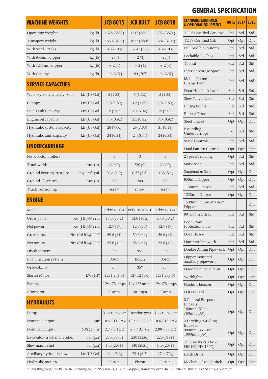| <b>MACHINE WEIGHTS</b>      |                               | <b>JCB 8015</b> | <b>JCB 8017</b>                              | <b>JCB 8018</b> |
|-----------------------------|-------------------------------|-----------------|----------------------------------------------|-----------------|
| Operating Weight*           | kg(h)                         | 1625 (3583)     | 1747 (3851)                                  | 1756 (3871)     |
| Transport Weight            | kg(h)                         | 1550 (3490)     | 1672 (3686)                                  | 1681 (3706)     |
| With Steel Tracks           | kg(h)                         | $+42(93)$       | $+42(93)$                                    | $+42(93)$       |
| With 950mm dipper           | kg(h)                         | $-2(4)$         | $-2(4)$                                      | $-2(4)$         |
| With 1238mm dipper          | kg(h)                         | $+2(4)$         | $+2(4)$                                      | $+2(4)$         |
| With Canopy                 | kg(h)                         | $-94(207)$      | $-94(207)$                                   | $-94(207)$      |
| <b>SERVICE CAPACITIES</b>   |                               |                 |                                              |                 |
| Water system capacity - Cab | Ltr (US Gal)                  | 5(1.32)         | 5(1.32)                                      | 5(1.32)         |
| Canopy                      | Ltr (US Gal)                  | 4.5(1.89)       | 4.5(1.89)                                    | 4.5(1.89)       |
| Fuel Tank Capacity          | Ltr (US Gal)                  | 19(5.02)        | 19(5.02)                                     | 19(5.02)        |
| Engine oil capacity         | Ltr (US Gal)                  | 3.5(0.92)       | 3.5(0.92)                                    | 3.5(0.92)       |
| Hydraulic system capacity   | Ltr (US Gal)                  | 29 (7.66)       | 29 (7.66)                                    | 31(8.19)        |
| Hydraulic tank capacity     | Ltr (US Gal)                  | 24 (6.34)       | 24 (6.34)                                    | 24 (6.34)       |
| <b>UNDERCARRIAGE</b>        |                               |                 |                                              |                 |
| No of bottom rollers        |                               | 3               | 3                                            | 3               |
| Track width                 | mm(in)                        | 230(9)          | 230(9)                                       | 230(9)          |
| Ground Bearing Pressure     | $\text{Kg/cm}^2 \text{(psi)}$ | 0.34(4.9)       | 0.37(5.3)                                    | 0.38(5.4)       |
| Ground Clearance            | mm(in)                        | 200             | 200                                          | 200             |
| <b>Track Tensioning</b>     |                               | screw           | screw                                        | screw           |
| <b>ENGINE</b>               |                               |                 |                                              |                 |
| Model                       |                               |                 | Perkins 103-10 Perkins 103-10 Perkins 103-10 |                 |
| Gross power                 | Kw (HP) @ 2250                | 13.6(18.2)      | 13.6(18.2)                                   | 13.6(18.2)      |
| Net power                   | Kw (HP) @ 2250                | 12.7(17)        | 12.7(17)                                     | 12.7(17)        |
| Gross torque                | Nm (lbf ft) @ 2000            | 59.6(44)        | 59.6 (44)                                    | 59.6 (44)       |
| Net torque                  | Nm (lbf ft) @ 2000            | 55.6(41)        | 55.6(41)                                     | 55.6(41)        |
| Displacement                |                               | 954             | 954                                          | 954             |
| Fuel injection system       |                               | Bosch           | Bosch                                        | Bosch           |
| Gradeability                |                               | 35°             | 35°                                          | $35^{\circ}$    |
| Starter Motor               | kW(HP)                        | 12v1.2(1.6)     | 12v1.2(1.6)                                  | 12v1.2(1.6)     |
| Battery                     |                               | 12v 475 amps    | 12v 475 amps                                 | 12v 475 amps    |
| Alternator                  |                               | 40 amps         | 40 amps                                      | 40 amps         |
| <b>HYDRAULICS</b>           |                               |                 |                                              |                 |
| Pump                        |                               | 3 section gear  | 3 section gear                               | 3 section gear  |
| Nominal Output              | Lpm                           | 10.5 / 11.7 x 2 | 10.5 / 11.7 x 2                              | 10.6 / 13.7 x 2 |
| Nominal Output              | (US gal/m)                    | 2.7 / 3.1 x 2   | 2.7 / 3.1 x 2                                | 2.80 / 3.6 x 2  |
| Excavator/track main relief | bar (psi)                     | 230 (3336)      | 230 (3336)                                   | 220 (3191)      |
| Slew main relief            | bar (psi)                     | 140 (2031)      | 140 (2031)                                   | 140 (2031)      |
| Auxiliary hydraulic flow    | Ltr (US Gal)                  | 23.4(6.2)       | 23.4(6.2)                                    | 27.4(7.2)       |
| Hydraulic motors            |                               | Piston          | Piston                                       | Piston          |

## **GENERAL SPECIFICATION**

| <b>STANDARD EQUIPMENT</b><br><b>&amp; OPTIONAL EQUIPMENT</b>      | 8015 | 8017 | 8018 |
|-------------------------------------------------------------------|------|------|------|
| TOPS Certified Canopy                                             | Std  | Std  | Std  |
| TOPS Certified Cab                                                | Opt  | Opt  | Opt  |
| Full Audible Systems                                              | Std  | Std  | Std  |
| Lockable Toolbox                                                  | Std  | Std  | Std  |
| Toolkit                                                           | Std  | Std  | Std  |
| Interior Storage Space                                            | Std  | Std  | Std  |
| Mobile Phone<br>Charge Point                                      | Std  | Std  | Std  |
| Door Holdback Latch                                               | Std  | Std  | Std  |
| Slew Travel Lock                                                  | Std  | Std  | Std  |
| Lifting Points                                                    | Std  | Std  | Std  |
| Rubber Tracks                                                     | Std  | Std  | Std  |
| <b>Steel Tracks</b>                                               | Opt  | Opt  | Opt  |
| Extending<br>Undercarriage                                        |      | Std  | Std  |
| Servo Controls                                                    | Std  | Std  | Std  |
| Dual Pattern Controls                                             | Opt  | Opt  | Opt  |
| 2 Speed Tracking                                                  | Opt  | Std  | Std  |
| <b>Static Seat</b>                                                | Std  | Std  | Std  |
| Suspension Seat                                                   | Opt  | Opt  | Opt  |
| 950mm Dipper                                                      | Opt  | Opt  | Opt  |
| 1138mm Dipper                                                     | Std  | Std  | Std  |
| 1238mm Dipper                                                     | Opt  | Opt  | Opt  |
| 1538mm "Gravemaster"<br>Dipper                                    |      |      | Opt  |
| 90° Boom Offset                                                   | Std  | Std  | Std  |
| Boom Ram<br><b>Protection Plate</b>                               | Std  | Std  | Std  |
| Dozer Blade                                                       | Std  | Std  | Std  |
| Hammer Pipework                                                   | Std  | Std  | Std  |
| Double Acting Pipework                                            | Opt  | Opt  | Opt  |
| Dipper mounted<br>auxiliary pipework                              | Opt  | Opt  | Opt  |
| Hand held tool circuit                                            | Opt  | Opt  | Opt  |
| Worklights                                                        | Opt  | Opt  | Opt  |
| Flashing beacon                                                   | Opt  | Opt  | Opt  |
| FOGS guard                                                        | Opt  | Opt  | Opt  |
| 8 General Purpose<br>Buckets:<br>$160mm(6")$ to<br>760mm (30")    | Opt  | Opt  | Opt  |
| 2 Ditching/Grading<br>Buckets:<br>900mm (35") and<br>1000mm (39") | Opt  | Opt  | Opt  |
| JCB Breakers: HM70,<br>HM160, HM160Q                              | Opt  | Opt  | Opt  |
| Earth Drills                                                      | Opt  | Opt  | Opt  |
| Mechanical quickhitch                                             | Opt  | Opt  | Opt  |

\*Operating weight to ISO 6016 including cab, rubber tracks, 1138mm dipper, standard dozer, 460mm bucket, full tanks and a 75kg operator.